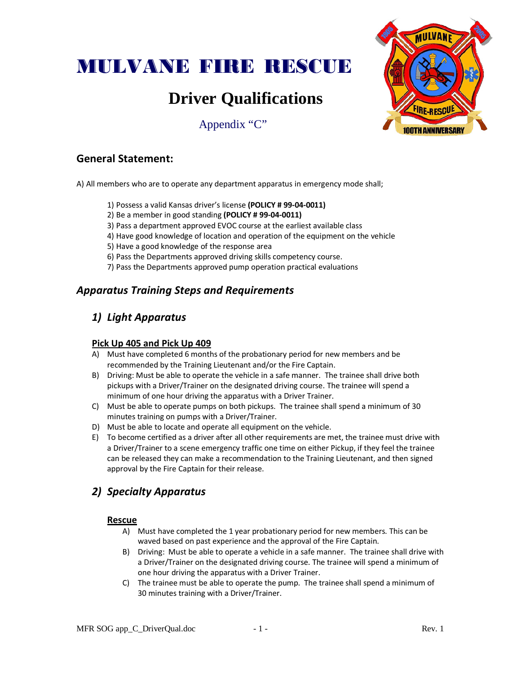# **Driver Qualifications**

Appendix "C"



### **General Statement:**

A) All members who are to operate any department apparatus in emergency mode shall;

- 1) Possess a valid Kansas driver's license **(POLICY # 99-04-0011)**
- 2) Be a member in good standing **(POLICY # 99-04-0011)**
- 3) Pass a department approved EVOC course at the earliest available class
- 4) Have good knowledge of location and operation of the equipment on the vehicle
- 5) Have a good knowledge of the response area
- 6) Pass the Departments approved driving skills competency course.
- 7) Pass the Departments approved pump operation practical evaluations

### *Apparatus Training Steps and Requirements*

## *1) Light Apparatus*

#### **Pick Up 405 and Pick Up 409**

- A) Must have completed 6 months of the probationary period for new members and be recommended by the Training Lieutenant and/or the Fire Captain.
- B) Driving: Must be able to operate the vehicle in a safe manner. The trainee shall drive both pickups with a Driver/Trainer on the designated driving course. The trainee will spend a minimum of one hour driving the apparatus with a Driver Trainer.
- C) Must be able to operate pumps on both pickups. The trainee shall spend a minimum of 30 minutes training on pumps with a Driver/Trainer.
- D) Must be able to locate and operate all equipment on the vehicle.
- E) To become certified as a driver after all other requirements are met, the trainee must drive with a Driver/Trainer to a scene emergency traffic one time on either Pickup, if they feel the trainee can be released they can make a recommendation to the Training Lieutenant, and then signed approval by the Fire Captain for their release.

## *2) Specialty Apparatus*

#### **Rescue**

- A) Must have completed the 1 year probationary period for new members. This can be waved based on past experience and the approval of the Fire Captain.
- B) Driving: Must be able to operate a vehicle in a safe manner. The trainee shall drive with a Driver/Trainer on the designated driving course. The trainee will spend a minimum of one hour driving the apparatus with a Driver Trainer.
- C) The trainee must be able to operate the pump. The trainee shall spend a minimum of 30 minutes training with a Driver/Trainer.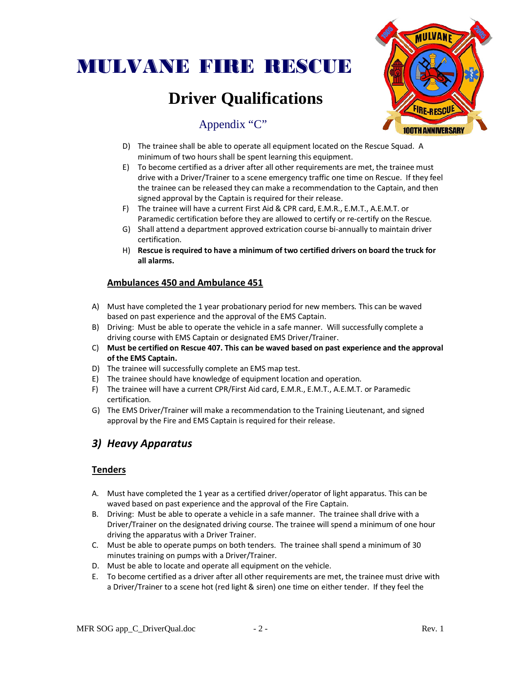# **Driver Qualifications**



### Appendix "C"

- D) The trainee shall be able to operate all equipment located on the Rescue Squad. A minimum of two hours shall be spent learning this equipment.
- E) To become certified as a driver after all other requirements are met, the trainee must drive with a Driver/Trainer to a scene emergency traffic one time on Rescue. If they feel the trainee can be released they can make a recommendation to the Captain, and then signed approval by the Captain is required for their release.
- F) The trainee will have a current First Aid & CPR card, E.M.R., E.M.T., A.E.M.T. or Paramedic certification before they are allowed to certify or re-certify on the Rescue.
- G) Shall attend a department approved extrication course bi-annually to maintain driver certification.
- H) **Rescue is required to have a minimum of two certified drivers on board the truck for all alarms.**

#### **Ambulances 450 and Ambulance 451**

- A) Must have completed the 1 year probationary period for new members. This can be waved based on past experience and the approval of the EMS Captain.
- B) Driving: Must be able to operate the vehicle in a safe manner. Will successfully complete a driving course with EMS Captain or designated EMS Driver/Trainer.
- C) **Must be certified on Rescue 407. This can be waved based on past experience and the approval of the EMS Captain.**
- D) The trainee will successfully complete an EMS map test.
- E) The trainee should have knowledge of equipment location and operation.
- F) The trainee will have a current CPR/First Aid card, E.M.R., E.M.T., A.E.M.T. or Paramedic certification.
- G) The EMS Driver/Trainer will make a recommendation to the Training Lieutenant, and signed approval by the Fire and EMS Captain is required for their release.

## *3) Heavy Apparatus*

#### **Tenders**

- A. Must have completed the 1 year as a certified driver/operator of light apparatus. This can be waved based on past experience and the approval of the Fire Captain.
- B. Driving: Must be able to operate a vehicle in a safe manner. The trainee shall drive with a Driver/Trainer on the designated driving course. The trainee will spend a minimum of one hour driving the apparatus with a Driver Trainer.
- C. Must be able to operate pumps on both tenders. The trainee shall spend a minimum of 30 minutes training on pumps with a Driver/Trainer.
- D. Must be able to locate and operate all equipment on the vehicle.
- E. To become certified as a driver after all other requirements are met, the trainee must drive with a Driver/Trainer to a scene hot (red light & siren) one time on either tender. If they feel the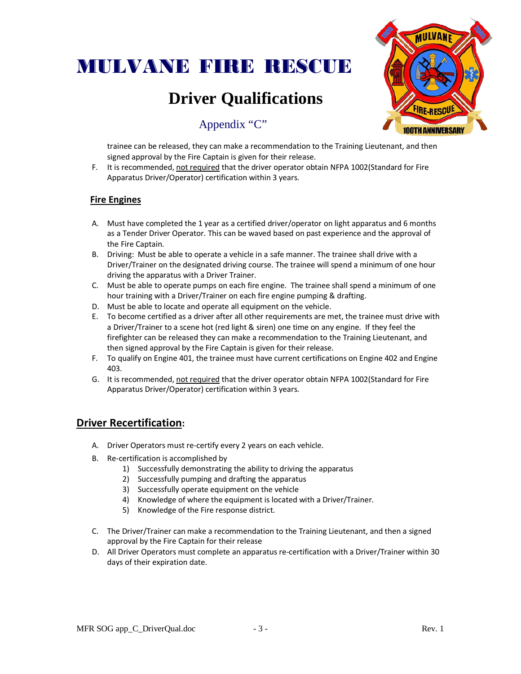# **Driver Qualifications**



Appendix "C"

trainee can be released, they can make a recommendation to the Training Lieutenant, and then signed approval by the Fire Captain is given for their release.

F. It is recommended, not required that the driver operator obtain NFPA 1002(Standard for Fire Apparatus Driver/Operator) certification within 3 years.

#### **Fire Engines**

- A. Must have completed the 1 year as a certified driver/operator on light apparatus and 6 months as a Tender Driver Operator. This can be waved based on past experience and the approval of the Fire Captain.
- B. Driving: Must be able to operate a vehicle in a safe manner. The trainee shall drive with a Driver/Trainer on the designated driving course. The trainee will spend a minimum of one hour driving the apparatus with a Driver Trainer.
- C. Must be able to operate pumps on each fire engine. The trainee shall spend a minimum of one hour training with a Driver/Trainer on each fire engine pumping & drafting.
- D. Must be able to locate and operate all equipment on the vehicle.
- E. To become certified as a driver after all other requirements are met, the trainee must drive with a Driver/Trainer to a scene hot (red light & siren) one time on any engine. If they feel the firefighter can be released they can make a recommendation to the Training Lieutenant, and then signed approval by the Fire Captain is given for their release.
- F. To qualify on Engine 401, the trainee must have current certifications on Engine 402 and Engine 403.
- G. It is recommended, not required that the driver operator obtain NFPA 1002(Standard for Fire Apparatus Driver/Operator) certification within 3 years.

#### **Driver Recertification:**

- A. Driver Operators must re-certify every 2 years on each vehicle.
- B. Re-certification is accomplished by
	- 1) Successfully demonstrating the ability to driving the apparatus
	- 2) Successfully pumping and drafting the apparatus
	- 3) Successfully operate equipment on the vehicle
	- 4) Knowledge of where the equipment is located with a Driver/Trainer.
	- 5) Knowledge of the Fire response district.
- C. The Driver/Trainer can make a recommendation to the Training Lieutenant, and then a signed approval by the Fire Captain for their release
- D. All Driver Operators must complete an apparatus re-certification with a Driver/Trainer within 30 days of their expiration date.